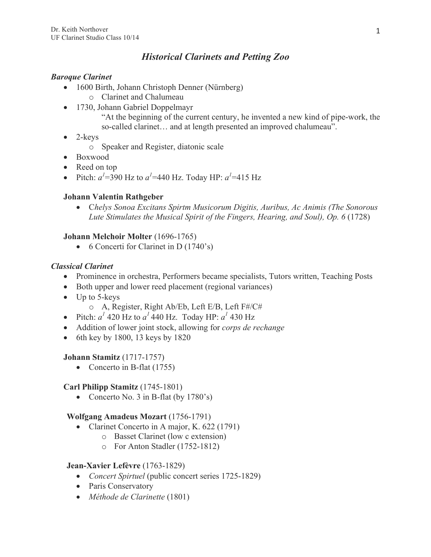# *Historical Clarinets and Petting Zoo*

## *Baroque Clarinet*

- 1600 Birth, Johann Christoph Denner (Nürnberg)
	- o Clarinet and Chalumeau
- 1730, Johann Gabriel Doppelmayr "At the beginning of the current century, he invented a new kind of pipe-work, the so-called clarinet… and at length presented an improved chalumeau".
- $\bullet$  2-keys
	- o Speaker and Register, diatonic scale
- Boxwood
- Reed on top
- Pitch:  $a^1 = 390$  Hz to  $a^1 = 440$  Hz. Today HP:  $a^1 = 415$  Hz

## **Johann Valentin Rathgeber**

• C*helys Sonoa Excitans Spirtm Musicorum Digitis, Auribus, Ac Animis (The Sonorous Lute Stimulates the Musical Spirit of the Fingers, Hearing, and Soul), Op. 6* (1728)

## **Johann Melchoir Molter** (1696-1765)

• 6 Concerti for Clarinet in D (1740's)

#### *Classical Clarinet*

- Prominence in orchestra, Performers became specialists, Tutors written, Teaching Posts
- Both upper and lower reed placement (regional variances)
- Up to 5-keys
	- o A, Register, Right Ab/Eb, Left E/B, Left F#/C#
- Pitch:  $a^1$  420 Hz to  $a^1$  440 Hz. Today HP:  $a^1$  430 Hz
- Addition of lower joint stock, allowing for *corps de rechange*
- $\bullet$  6th key by 1800, 13 keys by 1820

#### **Johann Stamitz** (1717-1757)

• Concerto in B-flat (1755)

#### **Carl Philipp Stamitz** (1745-1801)

• Concerto No. 3 in B-flat (by 1780's)

#### **Wolfgang Amadeus Mozart** (1756-1791)

- Clarinet Concerto in A major, K. 622 (1791)
	- o Basset Clarinet (low c extension)
	- o For Anton Stadler (1752-1812)

#### **Jean-Xavier Lefèvre** (1763-1829)

- *Concert Spirtuel* (public concert series 1725-1829)
- Paris Conservatory
- *Méthode de Clarinette* (1801)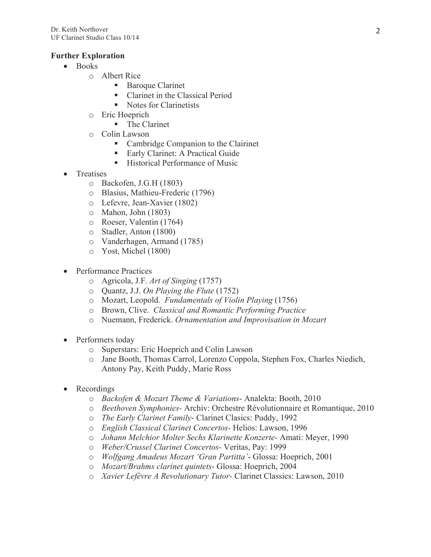### **Further Exploration**

- Books
	- o Albert Rice
		- Baroque Clarinet
		- Clarinet in the Classical Period
		- Notes for Clarinetists
	- o Eric Hoeprich
		- The Clarinet
	- o Colin Lawson
		- Cambridge Companion to the Clairinet
		- Early Clarinet: A Practical Guide
		- Historical Performance of Music
- **Treatises** 
	- o Backofen, J.G.H (1803)
	- o Blasius, Mathieu-Frederic (1796)
	- o Lefevre, Jean-Xavier (1802)
	- o Mahon, John (1803)
	- o Roeser, Valentin (1764)
	- o Stadler, Anton (1800)
	- o Vanderhagen, Armand (1785)
	- o Yost, Michel (1800)
- Performance Practices
	- o Agricola, J.F. *Art of Singing* (1757)
	- o Quantz, J.J. *On Playing the Flute* (1752)
	- o Mozart, Leopold. *Fundamentals of Violin Playing* (1756)
	- o Brown, Clive. *Classical and Romantic Performing Practice*
	- o Nuemann, Frederick. *Ornamentation and Improvisation in Mozart*
- Performers today
	- o Superstars: Eric Hoeprich and Colin Lawson
	- o Jane Booth, Thomas Carrol, Lorenzo Coppola, Stephen Fox, Charles Niedich, Antony Pay, Keith Puddy, Marie Ross
- **Recordings** 
	- o *Backofen & Mozart Theme & Variations* Analekta: Booth, 2010
	- o *Beethoven Symphonies-* Archiv: Orchestre Révolutionnaire et Romantique, 2010
	- o *The Early Clarinet Family* Clarinet Clasics: Puddy, 1992
	- o *English Classical Clarinet Concertos-* Helios: Lawson, 1996
	- o *Johann Melchior Molter Sechs Klarinette Konzerte-* Amati: Meyer, 1990
	- o *Weber/Crussel Clarinet Concertos-* Veritas, Pay: 1999
	- o *Wolfgang Amadeus Mozart 'Gran Partitta'* Glossa: Hoeprich, 2001
	- o *Mozart/Brahms clarinet quintets* Glossa: Hoeprich, 2004
	- o *Xavier Lefèvre A Revolutionary Tutor-* Clarinet Classics: Lawson, 2010